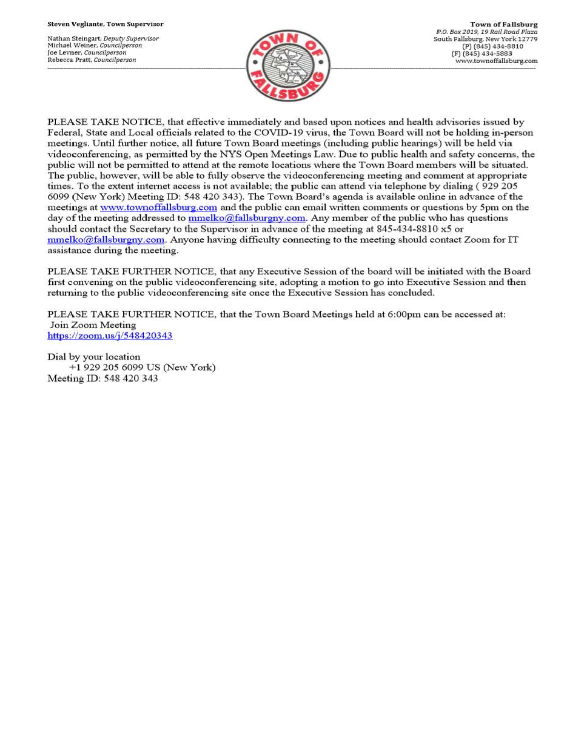Nathan Steingart, Deputy Supervisor Michael Weiner, Councilperson Joe Levner, Councilperson Rebecca Pratt, Councilperson



PLEASE TAKE NOTICE, that effective immediately and based upon notices and health advisories issued by Federal, State and Local officials related to the COVID-19 virus, the Town Board will not be holding in-person meetings. Until further notice, all future Town Board meetings (including public hearings) will be held via videoconferencing, as permitted by the NYS Open Meetings Law. Due to public health and safety concerns, the public will not be permitted to attend at the remote locations where the Town Board members will be situated. The public, however, will be able to fully observe the videoconferencing meeting and comment at appropriate times. To the extent internet access is not available; the public can attend via telephone by dialing (929 205 6099 (New York) Meeting ID: 548 420 343). The Town Board's agenda is available online in advance of the meetings at www.townoffallsburg.com and the public can email written comments or questions by 5pm on the day of the meeting addressed to  $\frac{mmelko@fallsburgny.com}{mclubuygny.com}$ . Any member of the public who has questions should contact the Secretary to the Supervisor in advance of the meeting at 845-434-8810 x5 or  $mmelko@fallsburgny.com.$  Anyone having difficulty connecting to the meeting should contact Zoom for IT assistance during the meeting.

PLEASE TAKE FURTHER NOTICE, that any Executive Session of the board will be initiated with the Board first convening on the public videoconferencing site, adopting a motion to go into Executive Session and then returning to the public videoconferencing site once the Executive Session has concluded.

PLEASE TAKE FURTHER NOTICE, that the Town Board Meetings held at 6:00pm can be accessed at: Join Zoom Meeting https://zoom.us/j/548420343

Dial by your location +1 929 205 6099 US (New York) Meeting ID: 548 420 343